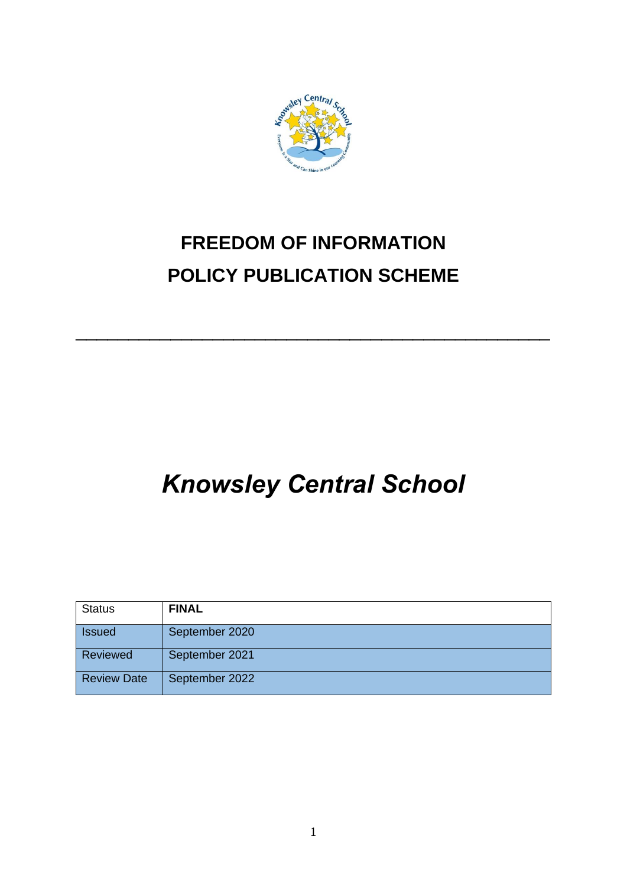

# **FREEDOM OF INFORMATION POLICY PUBLICATION SCHEME**

\_\_\_\_\_\_\_\_\_\_\_\_\_\_\_\_\_\_\_\_\_\_\_\_\_\_\_\_\_\_\_\_\_\_\_\_\_\_\_\_\_\_\_\_\_

# *Knowsley Central School*

| <b>Status</b>      | <b>FINAL</b>   |
|--------------------|----------------|
| <b>Issued</b>      | September 2020 |
| Reviewed           | September 2021 |
| <b>Review Date</b> | September 2022 |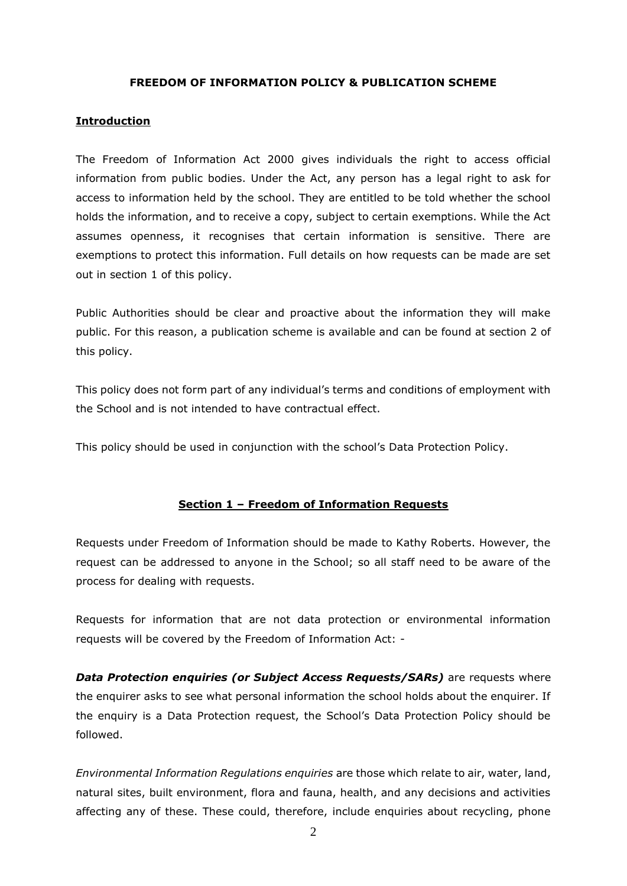#### **FREEDOM OF INFORMATION POLICY & PUBLICATION SCHEME**

#### **Introduction**

The Freedom of Information Act 2000 gives individuals the right to access official information from public bodies. Under the Act, any person has a legal right to ask for access to information held by the school. They are entitled to be told whether the school holds the information, and to receive a copy, subject to certain exemptions. While the Act assumes openness, it recognises that certain information is sensitive. There are exemptions to protect this information. Full details on how requests can be made are set out in section 1 of this policy.

Public Authorities should be clear and proactive about the information they will make public. For this reason, a publication scheme is available and can be found at section 2 of this policy.

This policy does not form part of any individual's terms and conditions of employment with the School and is not intended to have contractual effect.

This policy should be used in conjunction with the school's Data Protection Policy.

#### **Section 1 – Freedom of Information Requests**

Requests under Freedom of Information should be made to Kathy Roberts. However, the request can be addressed to anyone in the School; so all staff need to be aware of the process for dealing with requests.

Requests for information that are not data protection or environmental information requests will be covered by the Freedom of Information Act: -

*Data Protection enquiries (or Subject Access Requests/SARs)* are requests where the enquirer asks to see what personal information the school holds about the enquirer. If the enquiry is a Data Protection request, the School's Data Protection Policy should be followed.

*Environmental Information Regulations enquiries* are those which relate to air, water, land, natural sites, built environment, flora and fauna, health, and any decisions and activities affecting any of these. These could, therefore, include enquiries about recycling, phone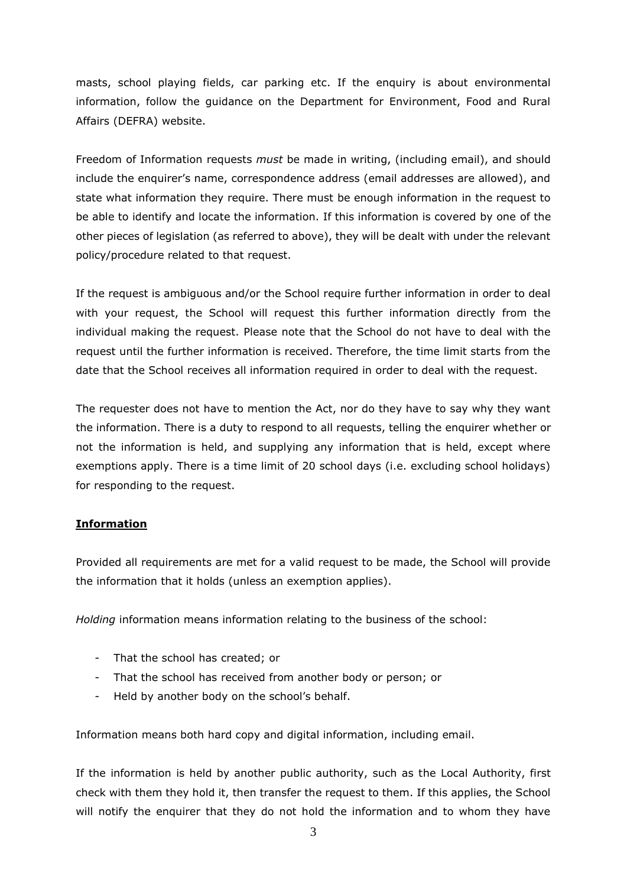masts, school playing fields, car parking etc. If the enquiry is about environmental information, follow the guidance on the Department for Environment, Food and Rural Affairs (DEFRA) website.

Freedom of Information requests *must* be made in writing, (including email), and should include the enquirer's name, correspondence address (email addresses are allowed), and state what information they require. There must be enough information in the request to be able to identify and locate the information. If this information is covered by one of the other pieces of legislation (as referred to above), they will be dealt with under the relevant policy/procedure related to that request.

If the request is ambiguous and/or the School require further information in order to deal with your request, the School will request this further information directly from the individual making the request. Please note that the School do not have to deal with the request until the further information is received. Therefore, the time limit starts from the date that the School receives all information required in order to deal with the request.

The requester does not have to mention the Act, nor do they have to say why they want the information. There is a duty to respond to all requests, telling the enquirer whether or not the information is held, and supplying any information that is held, except where exemptions apply. There is a time limit of 20 school days (i.e. excluding school holidays) for responding to the request.

## **Information**

Provided all requirements are met for a valid request to be made, the School will provide the information that it holds (unless an exemption applies).

*Holding* information means information relating to the business of the school:

- That the school has created; or
- That the school has received from another body or person; or
- Held by another body on the school's behalf.

Information means both hard copy and digital information, including email.

If the information is held by another public authority, such as the Local Authority, first check with them they hold it, then transfer the request to them. If this applies, the School will notify the enquirer that they do not hold the information and to whom they have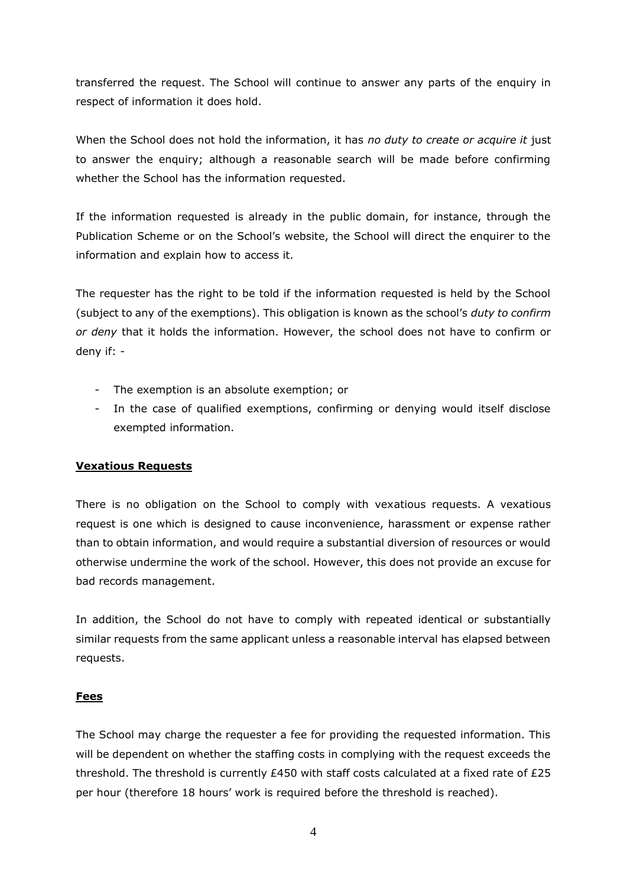transferred the request. The School will continue to answer any parts of the enquiry in respect of information it does hold.

When the School does not hold the information, it has *no duty to create or acquire it* just to answer the enquiry; although a reasonable search will be made before confirming whether the School has the information requested.

If the information requested is already in the public domain, for instance, through the Publication Scheme or on the School's website, the School will direct the enquirer to the information and explain how to access it.

The requester has the right to be told if the information requested is held by the School (subject to any of the exemptions). This obligation is known as the school's *duty to confirm or deny* that it holds the information. However, the school does not have to confirm or deny if: -

- The exemption is an absolute exemption; or
- In the case of qualified exemptions, confirming or denying would itself disclose exempted information.

#### **Vexatious Requests**

There is no obligation on the School to comply with vexatious requests. A vexatious request is one which is designed to cause inconvenience, harassment or expense rather than to obtain information, and would require a substantial diversion of resources or would otherwise undermine the work of the school. However, this does not provide an excuse for bad records management.

In addition, the School do not have to comply with repeated identical or substantially similar requests from the same applicant unless a reasonable interval has elapsed between requests.

#### **Fees**

The School may charge the requester a fee for providing the requested information. This will be dependent on whether the staffing costs in complying with the request exceeds the threshold. The threshold is currently £450 with staff costs calculated at a fixed rate of £25 per hour (therefore 18 hours' work is required before the threshold is reached).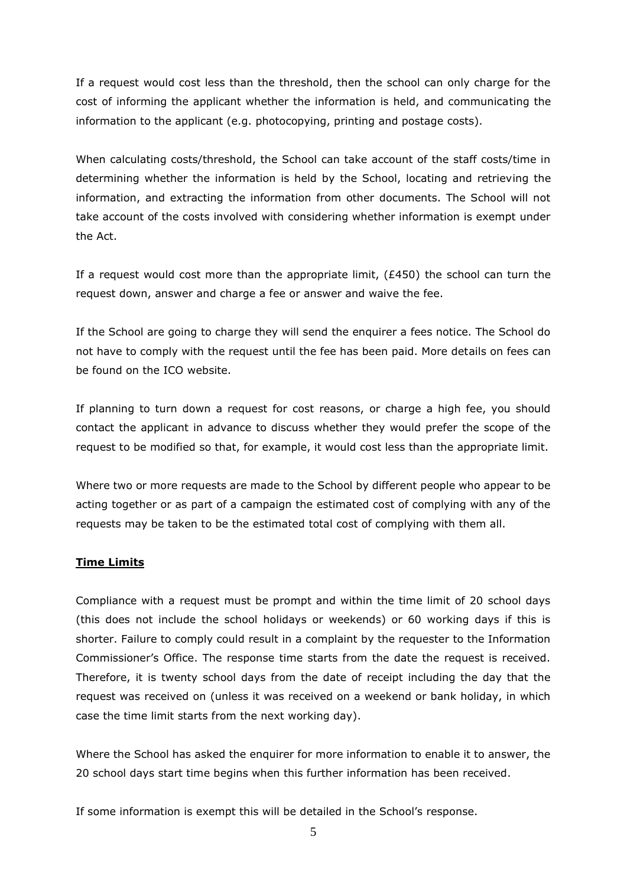If a request would cost less than the threshold, then the school can only charge for the cost of informing the applicant whether the information is held, and communicating the information to the applicant (e.g. photocopying, printing and postage costs).

When calculating costs/threshold, the School can take account of the staff costs/time in determining whether the information is held by the School, locating and retrieving the information, and extracting the information from other documents. The School will not take account of the costs involved with considering whether information is exempt under the Act.

If a request would cost more than the appropriate limit,  $(E450)$  the school can turn the request down, answer and charge a fee or answer and waive the fee.

If the School are going to charge they will send the enquirer a fees notice. The School do not have to comply with the request until the fee has been paid. More details on fees can be found on the ICO website.

If planning to turn down a request for cost reasons, or charge a high fee, you should contact the applicant in advance to discuss whether they would prefer the scope of the request to be modified so that, for example, it would cost less than the appropriate limit.

Where two or more requests are made to the School by different people who appear to be acting together or as part of a campaign the estimated cost of complying with any of the requests may be taken to be the estimated total cost of complying with them all.

#### **Time Limits**

Compliance with a request must be prompt and within the time limit of 20 school days (this does not include the school holidays or weekends) or 60 working days if this is shorter. Failure to comply could result in a complaint by the requester to the Information Commissioner's Office. The response time starts from the date the request is received. Therefore, it is twenty school days from the date of receipt including the day that the request was received on (unless it was received on a weekend or bank holiday, in which case the time limit starts from the next working day).

Where the School has asked the enquirer for more information to enable it to answer, the 20 school days start time begins when this further information has been received.

If some information is exempt this will be detailed in the School's response.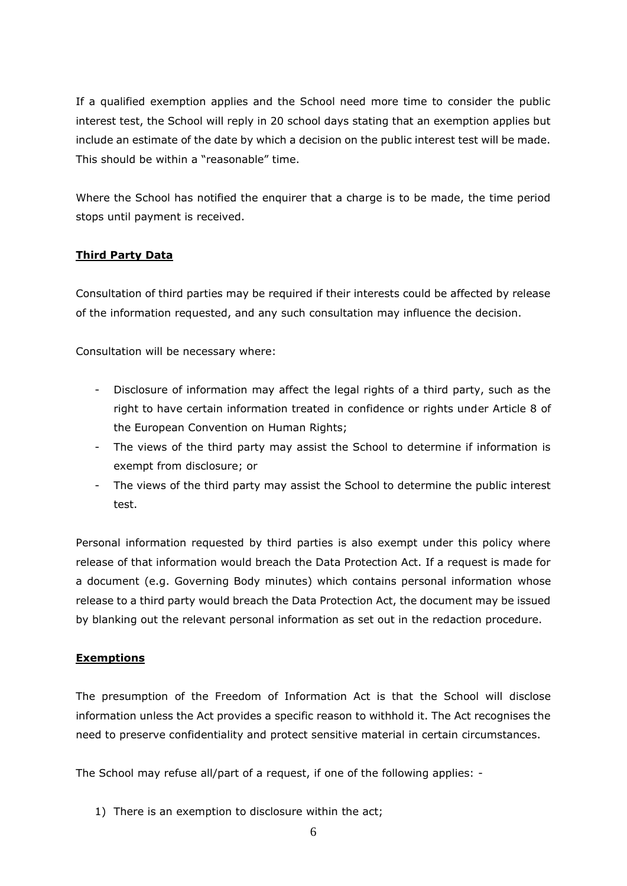If a qualified exemption applies and the School need more time to consider the public interest test, the School will reply in 20 school days stating that an exemption applies but include an estimate of the date by which a decision on the public interest test will be made. This should be within a "reasonable" time.

Where the School has notified the enquirer that a charge is to be made, the time period stops until payment is received.

## **Third Party Data**

Consultation of third parties may be required if their interests could be affected by release of the information requested, and any such consultation may influence the decision.

Consultation will be necessary where:

- Disclosure of information may affect the legal rights of a third party, such as the right to have certain information treated in confidence or rights under Article 8 of the European Convention on Human Rights;
- The views of the third party may assist the School to determine if information is exempt from disclosure; or
- The views of the third party may assist the School to determine the public interest test.

Personal information requested by third parties is also exempt under this policy where release of that information would breach the Data Protection Act. If a request is made for a document (e.g. Governing Body minutes) which contains personal information whose release to a third party would breach the Data Protection Act, the document may be issued by blanking out the relevant personal information as set out in the redaction procedure.

#### **Exemptions**

The presumption of the Freedom of Information Act is that the School will disclose information unless the Act provides a specific reason to withhold it. The Act recognises the need to preserve confidentiality and protect sensitive material in certain circumstances.

The School may refuse all/part of a request, if one of the following applies: -

1) There is an exemption to disclosure within the act;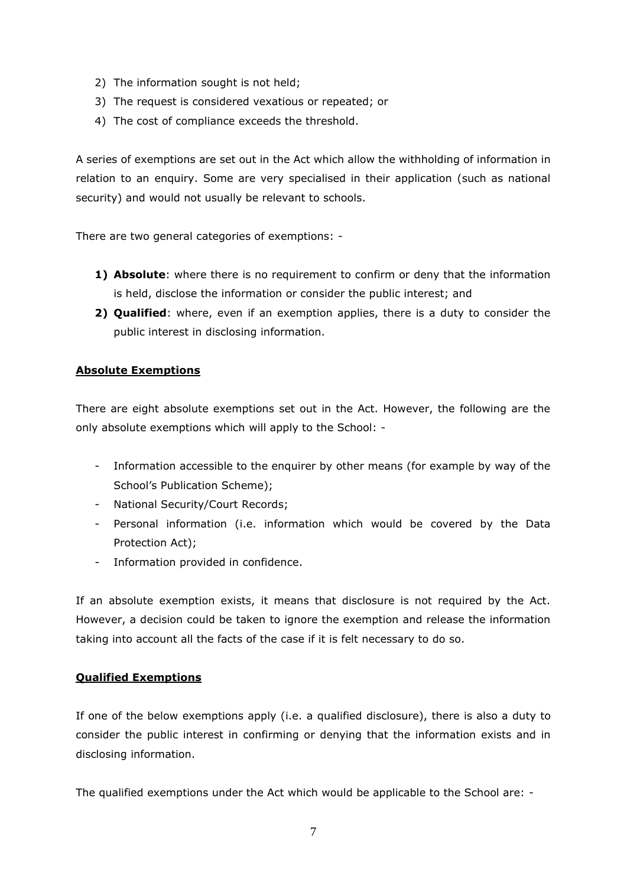- 2) The information sought is not held;
- 3) The request is considered vexatious or repeated; or
- 4) The cost of compliance exceeds the threshold.

A series of exemptions are set out in the Act which allow the withholding of information in relation to an enquiry. Some are very specialised in their application (such as national security) and would not usually be relevant to schools.

There are two general categories of exemptions: -

- **1) Absolute**: where there is no requirement to confirm or deny that the information is held, disclose the information or consider the public interest; and
- **2) Qualified**: where, even if an exemption applies, there is a duty to consider the public interest in disclosing information.

## **Absolute Exemptions**

There are eight absolute exemptions set out in the Act. However, the following are the only absolute exemptions which will apply to the School: -

- Information accessible to the enquirer by other means (for example by way of the School's Publication Scheme);
- National Security/Court Records;
- Personal information (i.e. information which would be covered by the Data Protection Act);
- Information provided in confidence.

If an absolute exemption exists, it means that disclosure is not required by the Act. However, a decision could be taken to ignore the exemption and release the information taking into account all the facts of the case if it is felt necessary to do so.

#### **Qualified Exemptions**

If one of the below exemptions apply (i.e. a qualified disclosure), there is also a duty to consider the public interest in confirming or denying that the information exists and in disclosing information.

The qualified exemptions under the Act which would be applicable to the School are: -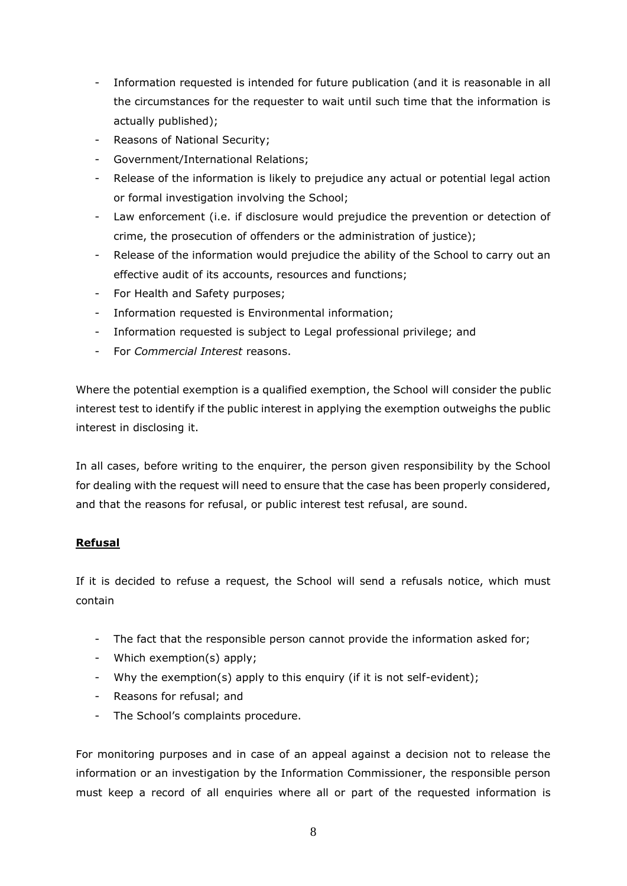- Information requested is intended for future publication (and it is reasonable in all the circumstances for the requester to wait until such time that the information is actually published);
- Reasons of National Security;
- Government/International Relations;
- Release of the information is likely to prejudice any actual or potential legal action or formal investigation involving the School;
- Law enforcement (i.e. if disclosure would prejudice the prevention or detection of crime, the prosecution of offenders or the administration of justice);
- Release of the information would prejudice the ability of the School to carry out an effective audit of its accounts, resources and functions;
- For Health and Safety purposes;
- Information requested is Environmental information;
- Information requested is subject to Legal professional privilege; and
- For *Commercial Interest* reasons.

Where the potential exemption is a qualified exemption, the School will consider the public interest test to identify if the public interest in applying the exemption outweighs the public interest in disclosing it.

In all cases, before writing to the enquirer, the person given responsibility by the School for dealing with the request will need to ensure that the case has been properly considered, and that the reasons for refusal, or public interest test refusal, are sound.

## **Refusal**

If it is decided to refuse a request, the School will send a refusals notice, which must contain

- The fact that the responsible person cannot provide the information asked for;
- Which exemption(s) apply;
- Why the exemption(s) apply to this enquiry (if it is not self-evident);
- Reasons for refusal; and
- The School's complaints procedure.

For monitoring purposes and in case of an appeal against a decision not to release the information or an investigation by the Information Commissioner, the responsible person must keep a record of all enquiries where all or part of the requested information is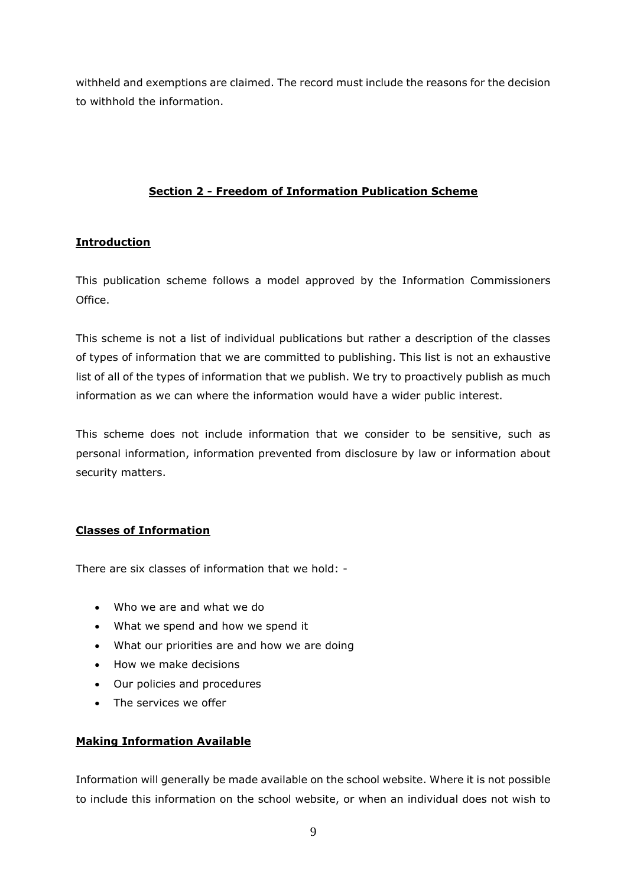withheld and exemptions are claimed. The record must include the reasons for the decision to withhold the information.

# **Section 2 - Freedom of Information Publication Scheme**

## **Introduction**

This publication scheme follows a model approved by the Information Commissioners Office.

This scheme is not a list of individual publications but rather a description of the classes of types of information that we are committed to publishing. This list is not an exhaustive list of all of the types of information that we publish. We try to proactively publish as much information as we can where the information would have a wider public interest.

This scheme does not include information that we consider to be sensitive, such as personal information, information prevented from disclosure by law or information about security matters.

## **Classes of Information**

There are six classes of information that we hold: -

- Who we are and what we do
- What we spend and how we spend it
- What our priorities are and how we are doing
- How we make decisions
- Our policies and procedures
- The services we offer

#### **Making Information Available**

Information will generally be made available on the school website. Where it is not possible to include this information on the school website, or when an individual does not wish to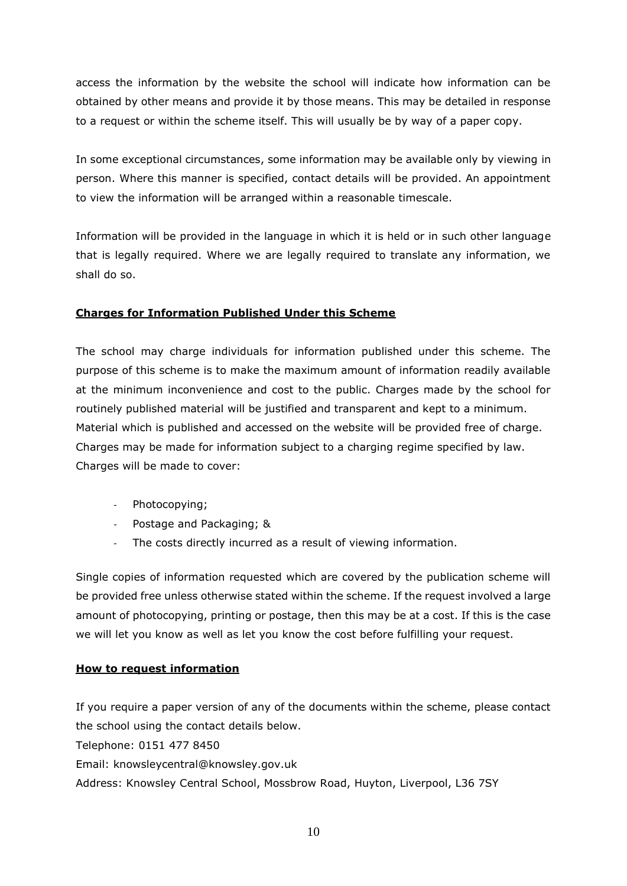access the information by the website the school will indicate how information can be obtained by other means and provide it by those means. This may be detailed in response to a request or within the scheme itself. This will usually be by way of a paper copy.

In some exceptional circumstances, some information may be available only by viewing in person. Where this manner is specified, contact details will be provided. An appointment to view the information will be arranged within a reasonable timescale.

Information will be provided in the language in which it is held or in such other language that is legally required. Where we are legally required to translate any information, we shall do so.

## **Charges for Information Published Under this Scheme**

The school may charge individuals for information published under this scheme. The purpose of this scheme is to make the maximum amount of information readily available at the minimum inconvenience and cost to the public. Charges made by the school for routinely published material will be justified and transparent and kept to a minimum. Material which is published and accessed on the website will be provided free of charge. Charges may be made for information subject to a charging regime specified by law. Charges will be made to cover:

- Photocopying;
- Postage and Packaging; &
- The costs directly incurred as a result of viewing information.

Single copies of information requested which are covered by the publication scheme will be provided free unless otherwise stated within the scheme. If the request involved a large amount of photocopying, printing or postage, then this may be at a cost. If this is the case we will let you know as well as let you know the cost before fulfilling your request.

#### **How to request information**

If you require a paper version of any of the documents within the scheme, please contact the school using the contact details below. Telephone: 0151 477 8450 Email: knowsleycentral@knowsley.gov.uk Address: Knowsley Central School, Mossbrow Road, Huyton, Liverpool, L36 7SY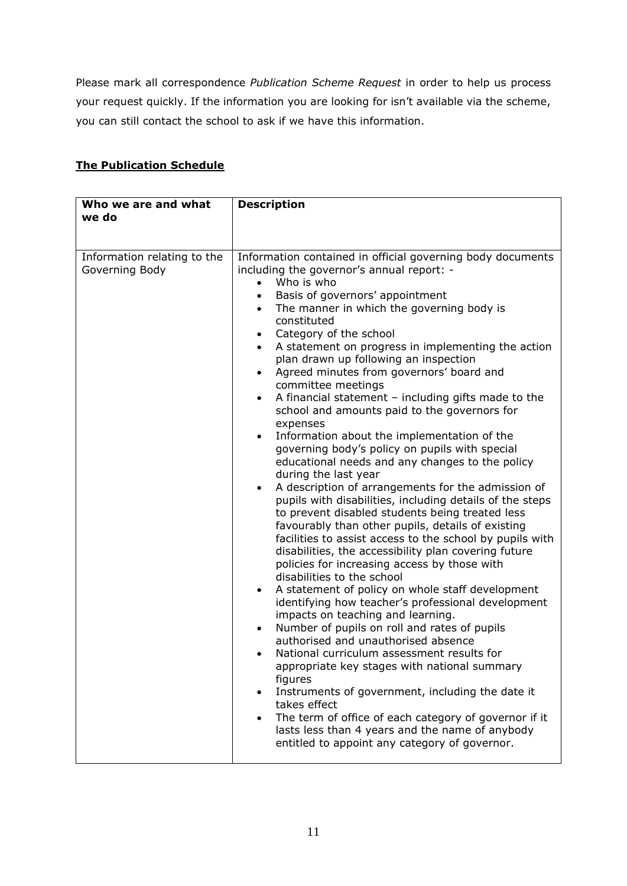Please mark all correspondence *Publication Scheme Request* in order to help us process your request quickly. If the information you are looking for isn't available via the scheme, you can still contact the school to ask if we have this information.

# **The Publication Schedule**

| Who we are and what<br>we do                  | <b>Description</b>                                                                                                                                                                                                                                                                                                                                                                                                                                                                                                                                                                                                                                                                                                                                                                                                                                                                                                                                                                                                                                                                                                                                                                                                                                                                                                                                                                                                                                                                                                                                                                                                                                                                                                                                                                                              |
|-----------------------------------------------|-----------------------------------------------------------------------------------------------------------------------------------------------------------------------------------------------------------------------------------------------------------------------------------------------------------------------------------------------------------------------------------------------------------------------------------------------------------------------------------------------------------------------------------------------------------------------------------------------------------------------------------------------------------------------------------------------------------------------------------------------------------------------------------------------------------------------------------------------------------------------------------------------------------------------------------------------------------------------------------------------------------------------------------------------------------------------------------------------------------------------------------------------------------------------------------------------------------------------------------------------------------------------------------------------------------------------------------------------------------------------------------------------------------------------------------------------------------------------------------------------------------------------------------------------------------------------------------------------------------------------------------------------------------------------------------------------------------------------------------------------------------------------------------------------------------------|
|                                               |                                                                                                                                                                                                                                                                                                                                                                                                                                                                                                                                                                                                                                                                                                                                                                                                                                                                                                                                                                                                                                                                                                                                                                                                                                                                                                                                                                                                                                                                                                                                                                                                                                                                                                                                                                                                                 |
| Information relating to the<br>Governing Body | Information contained in official governing body documents<br>including the governor's annual report: -<br>Who is who<br>Basis of governors' appointment<br>The manner in which the governing body is<br>constituted<br>Category of the school<br>٠<br>A statement on progress in implementing the action<br>$\bullet$<br>plan drawn up following an inspection<br>Agreed minutes from governors' board and<br>$\bullet$<br>committee meetings<br>A financial statement $-$ including gifts made to the<br>$\bullet$<br>school and amounts paid to the governors for<br>expenses<br>Information about the implementation of the<br>$\bullet$<br>governing body's policy on pupils with special<br>educational needs and any changes to the policy<br>during the last year<br>A description of arrangements for the admission of<br>$\bullet$<br>pupils with disabilities, including details of the steps<br>to prevent disabled students being treated less<br>favourably than other pupils, details of existing<br>facilities to assist access to the school by pupils with<br>disabilities, the accessibility plan covering future<br>policies for increasing access by those with<br>disabilities to the school<br>A statement of policy on whole staff development<br>$\bullet$<br>identifying how teacher's professional development<br>impacts on teaching and learning.<br>Number of pupils on roll and rates of pupils<br>authorised and unauthorised absence<br>National curriculum assessment results for<br>appropriate key stages with national summary<br>figures<br>Instruments of government, including the date it<br>takes effect<br>The term of office of each category of governor if it<br>lasts less than 4 years and the name of anybody<br>entitled to appoint any category of governor. |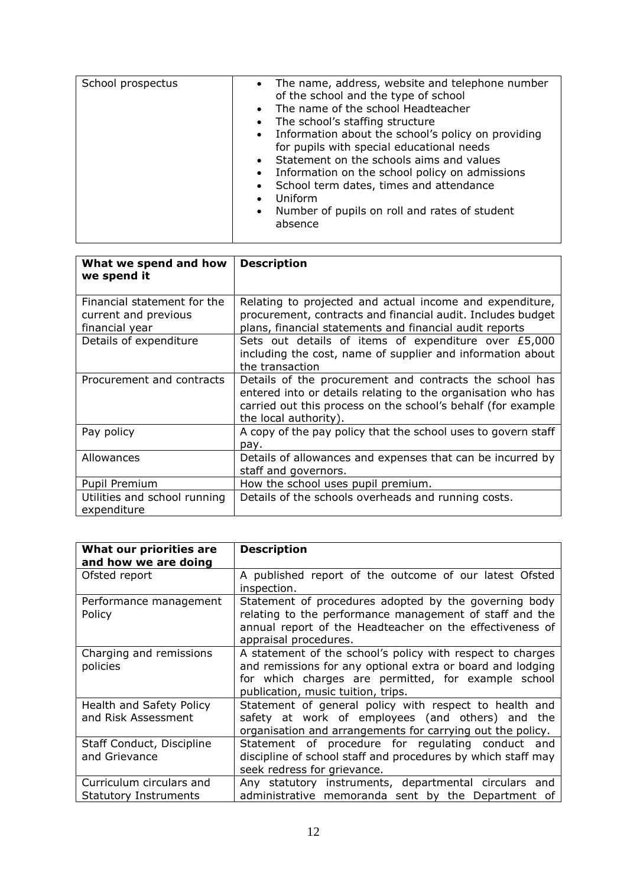| School prospectus | The name, address, website and telephone number<br>$\bullet$<br>of the school and the type of school<br>The name of the school Headteacher<br>$\bullet$<br>The school's staffing structure<br>$\bullet$<br>• Information about the school's policy on providing<br>for pupils with special educational needs<br>Statement on the schools aims and values<br>$\bullet$<br>Information on the school policy on admissions<br>$\bullet$<br>School term dates, times and attendance<br>Uniform<br>$\bullet$<br>Number of pupils on roll and rates of student<br>$\bullet$<br>absence |
|-------------------|----------------------------------------------------------------------------------------------------------------------------------------------------------------------------------------------------------------------------------------------------------------------------------------------------------------------------------------------------------------------------------------------------------------------------------------------------------------------------------------------------------------------------------------------------------------------------------|
|-------------------|----------------------------------------------------------------------------------------------------------------------------------------------------------------------------------------------------------------------------------------------------------------------------------------------------------------------------------------------------------------------------------------------------------------------------------------------------------------------------------------------------------------------------------------------------------------------------------|

| What we spend and how<br>we spend it                                  | <b>Description</b>                                                                                                                                                                                               |
|-----------------------------------------------------------------------|------------------------------------------------------------------------------------------------------------------------------------------------------------------------------------------------------------------|
| Financial statement for the<br>current and previous<br>financial year | Relating to projected and actual income and expenditure,<br>procurement, contracts and financial audit. Includes budget<br>plans, financial statements and financial audit reports                               |
| Details of expenditure                                                | Sets out details of items of expenditure over £5,000<br>including the cost, name of supplier and information about<br>the transaction                                                                            |
| Procurement and contracts                                             | Details of the procurement and contracts the school has<br>entered into or details relating to the organisation who has<br>carried out this process on the school's behalf (for example<br>the local authority). |
| Pay policy                                                            | A copy of the pay policy that the school uses to govern staff<br>pay.                                                                                                                                            |
| Allowances                                                            | Details of allowances and expenses that can be incurred by<br>staff and governors.                                                                                                                               |
| Pupil Premium                                                         | How the school uses pupil premium.                                                                                                                                                                               |
| Utilities and school running<br>expenditure                           | Details of the schools overheads and running costs.                                                                                                                                                              |

| What our priorities are<br>and how we are doing          | <b>Description</b>                                                                                                                                                                                                    |
|----------------------------------------------------------|-----------------------------------------------------------------------------------------------------------------------------------------------------------------------------------------------------------------------|
| Ofsted report                                            | A published report of the outcome of our latest Ofsted<br>inspection.                                                                                                                                                 |
| Performance management<br>Policy                         | Statement of procedures adopted by the governing body<br>relating to the performance management of staff and the<br>annual report of the Headteacher on the effectiveness of<br>appraisal procedures.                 |
| Charging and remissions<br>policies                      | A statement of the school's policy with respect to charges<br>and remissions for any optional extra or board and lodging<br>for which charges are permitted, for example school<br>publication, music tuition, trips. |
| Health and Safety Policy<br>and Risk Assessment          | Statement of general policy with respect to health and<br>safety at work of employees (and others) and the<br>organisation and arrangements for carrying out the policy.                                              |
| Staff Conduct, Discipline<br>and Grievance               | Statement of procedure for regulating conduct and<br>discipline of school staff and procedures by which staff may<br>seek redress for grievance.                                                                      |
| Curriculum circulars and<br><b>Statutory Instruments</b> | Any statutory instruments, departmental circulars and<br>administrative memoranda sent by the Department of                                                                                                           |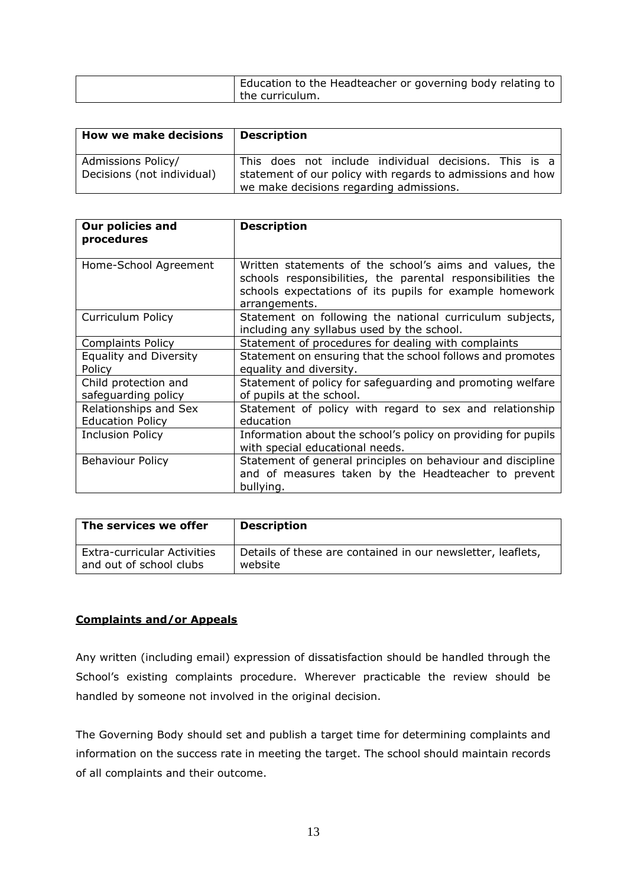| Education to the Headteacher or governing body relating to |
|------------------------------------------------------------|
| the curriculum.                                            |

| <b>How we make decisions</b>                     | <b>Description</b>                                                                                                                                             |
|--------------------------------------------------|----------------------------------------------------------------------------------------------------------------------------------------------------------------|
| Admissions Policy/<br>Decisions (not individual) | This does not include individual decisions. This is a<br>statement of our policy with regards to admissions and how<br>we make decisions regarding admissions. |

| <b>Our policies and</b><br>procedures            | <b>Description</b>                                                                                                                                                                                 |
|--------------------------------------------------|----------------------------------------------------------------------------------------------------------------------------------------------------------------------------------------------------|
| Home-School Agreement                            | Written statements of the school's aims and values, the<br>schools responsibilities, the parental responsibilities the<br>schools expectations of its pupils for example homework<br>arrangements. |
| Curriculum Policy                                | Statement on following the national curriculum subjects,<br>including any syllabus used by the school.                                                                                             |
| <b>Complaints Policy</b>                         | Statement of procedures for dealing with complaints                                                                                                                                                |
| <b>Equality and Diversity</b>                    | Statement on ensuring that the school follows and promotes                                                                                                                                         |
| Policy                                           | equality and diversity.                                                                                                                                                                            |
| Child protection and<br>safeguarding policy      | Statement of policy for safeguarding and promoting welfare<br>of pupils at the school.                                                                                                             |
| Relationships and Sex<br><b>Education Policy</b> | Statement of policy with regard to sex and relationship<br>education                                                                                                                               |
| <b>Inclusion Policy</b>                          | Information about the school's policy on providing for pupils<br>with special educational needs.                                                                                                   |
| <b>Behaviour Policy</b>                          | Statement of general principles on behaviour and discipline<br>and of measures taken by the Headteacher to prevent<br>bullying.                                                                    |

| The services we offer              | <b>Description</b>                                          |
|------------------------------------|-------------------------------------------------------------|
| <b>Extra-curricular Activities</b> | Details of these are contained in our newsletter, leaflets, |
| and out of school clubs            | website                                                     |

# **Complaints and/or Appeals**

Any written (including email) expression of dissatisfaction should be handled through the School's existing complaints procedure. Wherever practicable the review should be handled by someone not involved in the original decision.

The Governing Body should set and publish a target time for determining complaints and information on the success rate in meeting the target. The school should maintain records of all complaints and their outcome.